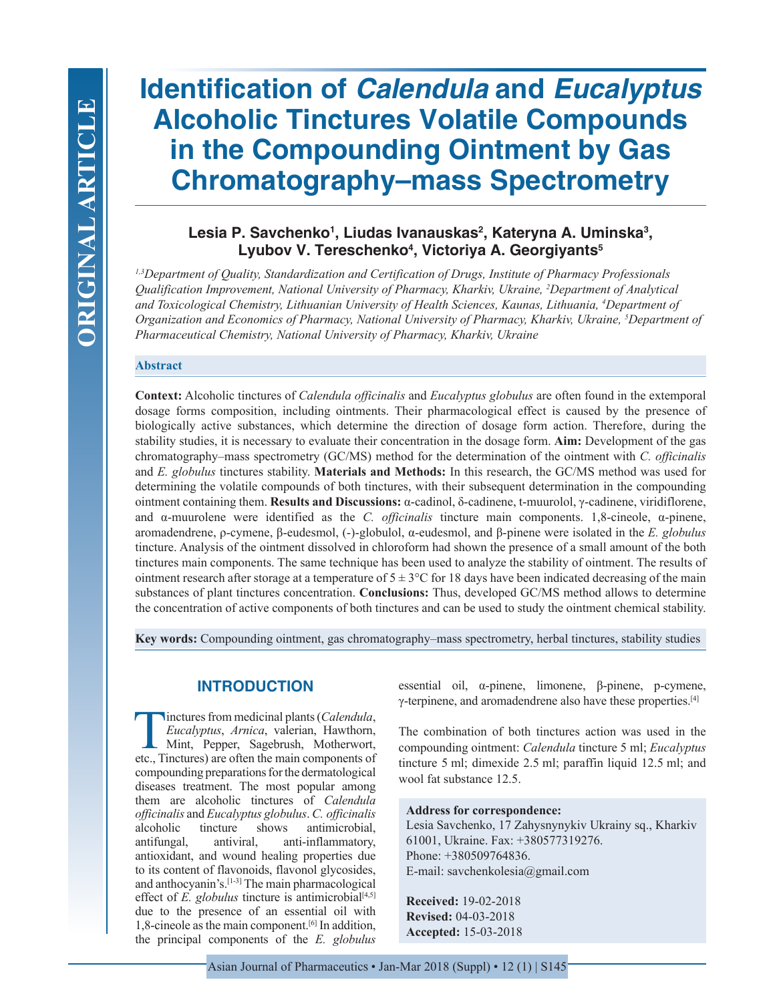# **Identification of** *Calendula* **and** *Eucalyptus*  **Alcoholic Tinctures Volatile Compounds in the Compounding Ointment by Gas Chromatography–mass Spectrometry**

# Lesia P. Savchenko<sup>ı</sup>, Liudas Ivanauskas<sup>2</sup>, Kateryna A. Uminska<sup>3</sup>, **Lyubov V. Tereschenko4 , Victoriya A. Georgiyants5**

*1,3Department of Quality, Standardization and Certification of Drugs, Institute of Pharmacy Professionals Qualification Improvement, National University of Pharmacy, Kharkiv, Ukraine, 2 Department of Analytical and Toxicological Chemistry, Lithuanian University of Health Sciences, Kaunas, Lithuania, 4 Department of Organization and Economics of Pharmacy, National University of Pharmacy, Kharkiv, Ukraine, 5 Department of Pharmaceutical Chemistry, National University of Pharmacy, Kharkiv, Ukraine*

#### **Abstract**

**Context:** Alcoholic tinctures of *Calendula officinalis* and *Eucalyptus globulus* are often found in the extemporal dosage forms composition, including ointments. Their pharmacological effect is caused by the presence of biologically active substances, which determine the direction of dosage form action. Therefore, during the stability studies, it is necessary to evaluate their concentration in the dosage form. **Aim:** Development of the gas chromatography–mass spectrometry (GC/MS) method for the determination of the ointment with *C. officinalis* and *E. globulus* tinctures stability. **Materials and Methods:** In this research, the GC/MS method was used for determining the volatile compounds of both tinctures, with their subsequent determination in the compounding ointment containing them. **Results and Discussions:** α-cadinol, δ-cadinene, t-muurolol, γ-cadinene, viridiflorene, and α-muurolene were identified as the *C. officinalis* tincture main components. 1,8-cineole, α-pinene, aromadendrene, ρ-cymene, β-eudesmol, (-)-globulol, α-eudesmol, and β-pinene were isolated in the *E. globulus* tincture. Analysis of the ointment dissolved in chloroform had shown the presence of a small amount of the both tinctures main components. The same technique has been used to analyze the stability of ointment. The results of ointment research after storage at a temperature of  $5 \pm 3^{\circ}$ C for 18 days have been indicated decreasing of the main substances of plant tinctures concentration. **Conclusions:** Thus, developed GC/MS method allows to determine the concentration of active components of both tinctures and can be used to study the ointment chemical stability.

**Key words:** Compounding ointment, gas chromatography–mass spectrometry, herbal tinctures, stability studies

### **INTRODUCTION**

Tinctures from medicinal plants (*Calendula*, *Eucalyptus*, *Arnica*, valerian, Hawthorn, Mint, Pepper, Sagebrush, Motherwort, etc., Tinctures) are often the main components of compounding preparations for the dermatological diseases treatment. The most popular among them are alcoholic tinctures of *Calendula officinalis* and *Eucalyptus globulus*. *C. officinalis* alcoholic tincture shows antimicrobial, antifungal, antiviral, anti-inflammatory, antioxidant, and wound healing properties due to its content of flavonoids, flavonol glycosides, and anthocyanin's.[1-3] The main pharmacological effect of  $E$ . globulus tincture is antimicrobial<sup>[4,5]</sup> due to the presence of an essential oil with 1,8-cineole as the main component.[6] In addition, the principal components of the *E. globulus*

essential oil, α-pinene, limonene, β-pinene, p-cymene, γ-terpinene, and aromadendrene also have these properties.[4]

The combination of both tinctures action was used in the compounding ointment: *Calendula* tincture 5 ml; *Eucalyptus* tincture 5 ml; dimexide 2.5 ml; paraffin liquid 12.5 ml; and wool fat substance 12.5.

#### **Address for correspondence:**

Lesia Savchenko, 17 Zahysnynykiv Ukrainy sq., Kharkiv 61001, Ukraine. Fax: +380577319276. Phone: +380509764836. E-mail: savchenkolesia@gmail.com

**Received:** 19-02-2018 **Revised:** 04-03-2018 **Accepted:** 15-03-2018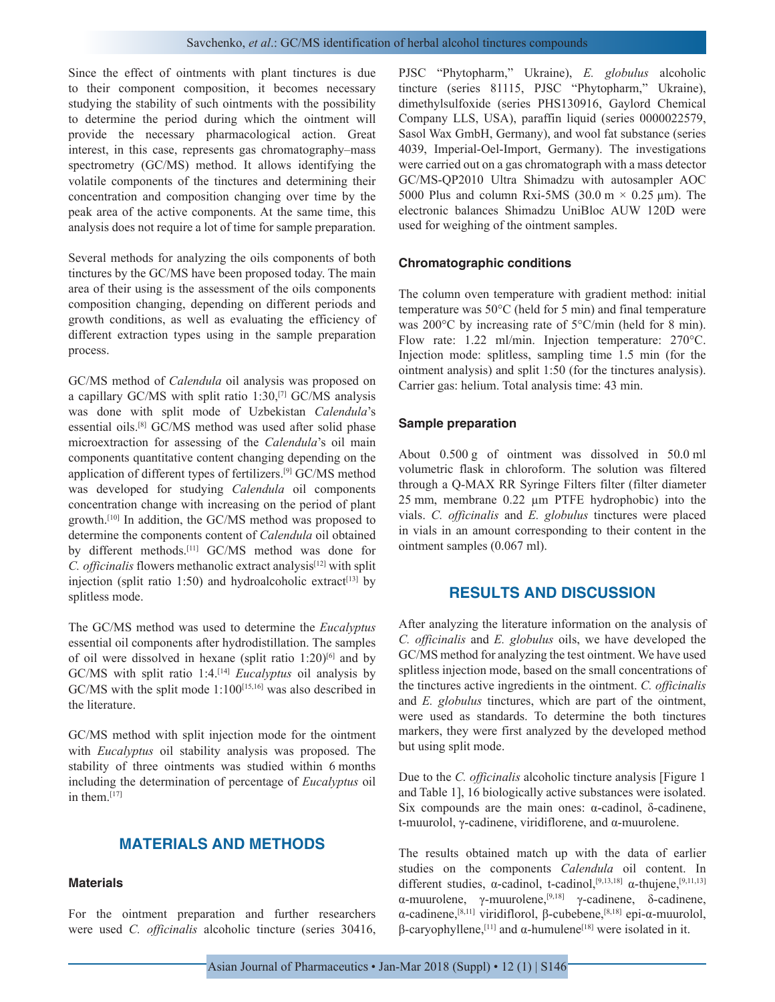Since the effect of ointments with plant tinctures is due to their component composition, it becomes necessary studying the stability of such ointments with the possibility to determine the period during which the ointment will provide the necessary pharmacological action. Great interest, in this case, represents gas chromatography–mass spectrometry (GC/MS) method. It allows identifying the volatile components of the tinctures and determining their concentration and composition changing over time by the peak area of the active components. At the same time, this analysis does not require a lot of time for sample preparation.

Several methods for analyzing the oils components of both tinctures by the GC/MS have been proposed today. The main area of their using is the assessment of the oils components composition changing, depending on different periods and growth conditions, as well as evaluating the efficiency of different extraction types using in the sample preparation process.

GC/MS method of *Calendula* oil analysis was proposed on a capillary GC/MS with split ratio 1:30,<sup>[7]</sup> GC/MS analysis was done with split mode of Uzbekistan *Calendula*'s essential oils.[8] GC/MS method was used after solid phase microextraction for assessing of the *Calendula*'s oil main components quantitative content changing depending on the application of different types of fertilizers.[9] GC/MS method was developed for studying *Calendula* oil components concentration change with increasing on the period of plant growth.[10] In addition, the GC/MS method was proposed to determine the components content of *Calendula* oil obtained by different methods.<sup>[11]</sup> GC/MS method was done for *C. officinalis* flowers methanolic extract analysis<sup>[12]</sup> with split injection (split ratio 1:50) and hydroalcoholic extract<sup>[13]</sup> by splitless mode.

The GC/MS method was used to determine the *Eucalyptus* essential oil components after hydrodistillation. The samples of oil were dissolved in hexane (split ratio  $1:20$ )<sup>[6]</sup> and by GC/MS with split ratio 1:4.[14] *Eucalyptus* oil analysis by GC/MS with the split mode 1:100<sup>[15,16]</sup> was also described in the literature.

GC/MS method with split injection mode for the ointment with *Eucalyptus* oil stability analysis was proposed. The stability of three ointments was studied within 6 months including the determination of percentage of *Eucalyptus* oil in them.<sup>[17]</sup>

## **MATERIALS AND METHODS**

#### **Materials**

For the ointment preparation and further researchers were used *C. officinalis* alcoholic tincture (series 30416, PJSC "Phytopharm," Ukraine), *E. globulus* alcoholic tincture (series 81115, PJSC "Phytopharm," Ukraine), dimethylsulfoxide (series PHS130916, Gaylord Chemical Company LLS, USA), paraffin liquid (series 0000022579, Sasol Wax GmbH, Germany), and wool fat substance (series 4039, Imperial-Oel-Import, Germany). The investigations were carried out on a gas chromatograph with a mass detector GC/MS-QP2010 Ultra Shimadzu with autosampler AOC 5000 Plus and column Rxi-5MS (30.0 m  $\times$  0.25 µm). The electronic balances Shimadzu UniBloc AUW 120D were used for weighing of the ointment samples.

#### **Chromatographic conditions**

The column oven temperature with gradient method: initial temperature was 50°C (held for 5 min) and final temperature was 200°C by increasing rate of 5°C/min (held for 8 min). Flow rate: 1.22 ml/min. Injection temperature: 270°C. Injection mode: splitless, sampling time 1.5 min (for the ointment analysis) and split 1:50 (for the tinctures analysis). Carrier gas: helium. Total analysis time: 43 min.

#### **Sample preparation**

About 0.500 g of ointment was dissolved in 50.0 ml volumetric flask in chloroform. The solution was filtered through a Q-MAX RR Syringe Filters filter (filter diameter 25 mm, membrane 0.22 µm PTFE hydrophobic) into the vials. *C. officinalis* and *E. globulus* tinctures were placed in vials in an amount corresponding to their content in the ointment samples (0.067 ml).

#### **RESULTS AND DISCUSSION**

After analyzing the literature information on the analysis of *C. officinalis* and *E. globulus* oils, we have developed the GC/MS method for analyzing the test ointment. We have used splitless injection mode, based on the small concentrations of the tinctures active ingredients in the ointment. *C. officinalis* and *E. globulus* tinctures, which are part of the ointment, were used as standards. To determine the both tinctures markers, they were first analyzed by the developed method but using split mode.

Due to the *C. officinalis* alcoholic tincture analysis [Figure 1 and Table 1], 16 biologically active substances were isolated. Six compounds are the main ones: α-cadinol, δ-cadinene, t-muurolol, γ-cadinene, viridiflorene, and α-muurolene.

The results obtained match up with the data of earlier studies on the components *Calendula* oil content. In different studies, α-cadinol, t-cadinol,<sup>[9,13,18]</sup> α-thujene,<sup>[9,11,13]</sup> α-muurolene, γ-muurolene,[9,18] γ-cadinene, δ-cadinene, α-cadinene,[8,11] viridiflorol, β-cubebene,[8,18] epi-α-muurolol,  $β$ -caryophyllene,<sup>[11]</sup> and α-humulene<sup>[18]</sup> were isolated in it.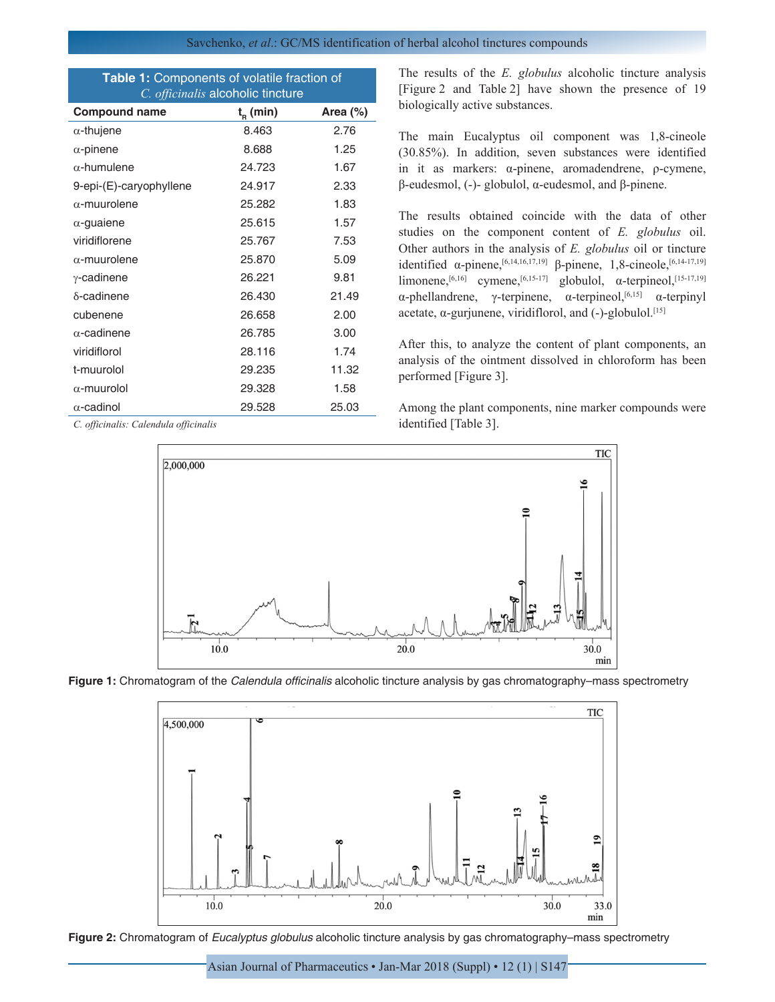Savchenko, *et al*.: GC/MS identification of herbal alcohol tinctures compounds

| Table 1: Components of volatile fraction of |
|---------------------------------------------|
| C. <i>officinalis</i> alcoholic tincture    |

| <b>Compound name</b>    | $t_{\rm B}$ (min) | Area $(\%)$ |
|-------------------------|-------------------|-------------|
| $\alpha$ -thujene       | 8.463             | 2.76        |
| $\alpha$ -pinene        | 8.688             | 1.25        |
| $\alpha$ -humulene      | 24.723            | 1.67        |
| 9-epi-(E)-caryophyllene | 24.917            | 2.33        |
| $\alpha$ -muurolene     | 25.282            | 1.83        |
| $\alpha$ -guaiene       | 25.615            | 1.57        |
| viridiflorene           | 25.767            | 7.53        |
| $\alpha$ -muurolene     | 25,870            | 5.09        |
| $\gamma$ -cadinene      | 26.221            | 9.81        |
| $\delta$ -cadinene      | 26.430            | 21.49       |
| cubenene                | 26.658            | 2.00        |
| $\alpha$ -cadinene      | 26.785            | 3.00        |
| viridiflorol            | 28.116            | 1.74        |
| t-muurolol              | 29.235            | 11.32       |
| $\alpha$ -muurolol      | 29.328            | 1.58        |
| $\alpha$ -cadinol       | 29.528            | 25.03       |

*C. officinalis: Calendula officinalis*

The results of the *E. globulus* alcoholic tincture analysis [Figure 2 and Table 2] have shown the presence of 19 biologically active substances.

The main Eucalyptus oil component was 1,8-cineole (30.85%). In addition, seven substances were identified in it as markers: α-pinene, aromadendrene, ρ-cymene, β-eudesmol, (-)- globulol, α-eudesmol, and β-pinene.

The results obtained coincide with the data of other studies on the component content of *E. globulus* oil. Other authors in the analysis of *E. globulus* oil or tincture identified  $\alpha$ -pinene,<sup>[6,14,16,17,19]</sup> β-pinene, 1,8-cineole,<sup>[6,14-17,19]</sup> limonene,<sup>[6,16]</sup> cymene,<sup>[6,15-17]</sup> globulol,  $\alpha$ -terpineol,<sup>[15-17,19]</sup> α-phellandrene, γ-terpinene, α-terpineol,<sup>[6,15]</sup> α-terpinyl acetate,  $\alpha$ -gurjunene, viridiflorol, and (-)-globulol.<sup>[15]</sup>

After this, to analyze the content of plant components, an analysis of the ointment dissolved in chloroform has been performed [Figure 3].

Among the plant components, nine marker compounds were identified [Table 3].



**Figure 1:** Chromatogram of the *Calendula officinalis* alcoholic tincture analysis by gas chromatography–mass spectrometry



**Figure 2:** Chromatogram of *Eucalyptus globulus* alcoholic tincture analysis by gas chromatography–mass spectrometry

Asian Journal of Pharmaceutics • Jan-Mar 2018 (Suppl) • 12 (1) | S147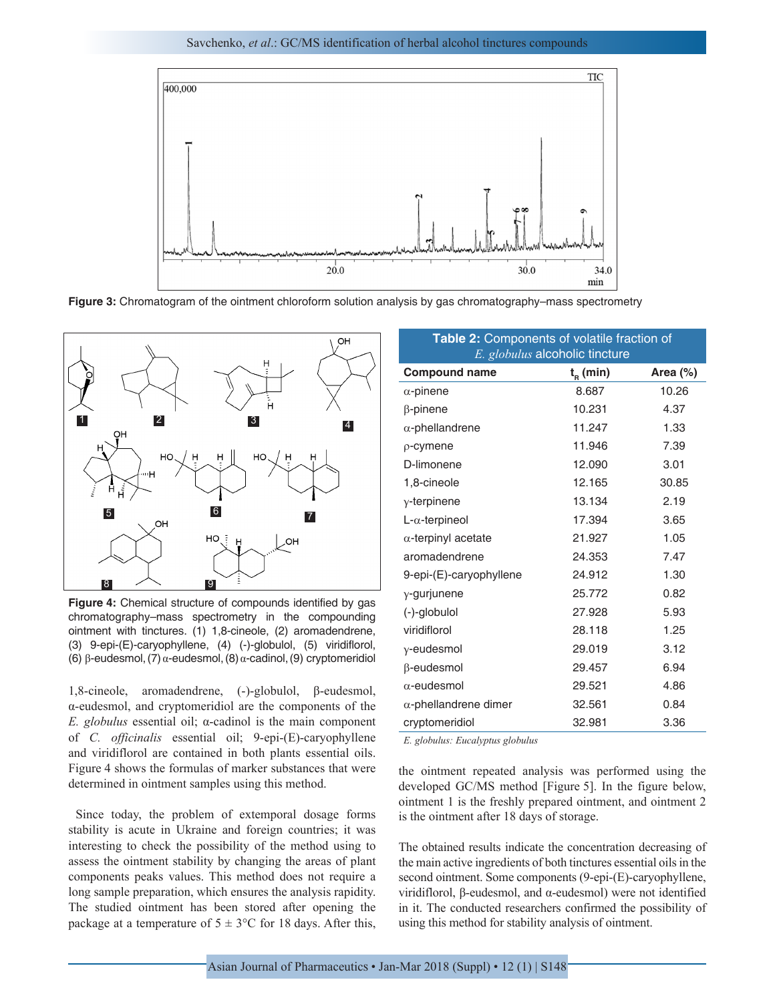

**Figure 3:** Chromatogram of the ointment chloroform solution analysis by gas chromatography–mass spectrometry



**Figure 4:** Chemical structure of compounds identified by gas chromatography–mass spectrometry in the compounding ointment with tinctures. (1) 1,8-cineole, (2) aromadendrene, (3) 9-epi-(E)-caryophyllene, (4) (-)-globulol, (5) viridiflorol, (6) β-eudesmol, (7) α-eudesmol, (8) α-cadinol, (9) cryptomeridiol

1,8-cineole, aromadendrene, (-)-globulol, β-eudesmol, α-eudesmol, and cryptomeridiol are the components of the *E. globulus* essential oil; α-cadinol is the main component of *C. officinalis* essential oil; 9-epi-(E)-caryophyllene and viridiflorol are contained in both plants essential oils. Figure 4 shows the formulas of marker substances that were determined in ointment samples using this method.

 Since today, the problem of extemporal dosage forms stability is acute in Ukraine and foreign countries; it was interesting to check the possibility of the method using to assess the ointment stability by changing the areas of plant components peaks values. This method does not require a long sample preparation, which ensures the analysis rapidity. The studied ointment has been stored after opening the package at a temperature of  $5 \pm 3$ °C for 18 days. After this,

| $t_{R}$ (min)<br><b>Compound name</b><br>Area $(\%)$<br>8.687<br>10.26<br>$\alpha$ -pinene<br>10.231<br>4.37<br>$\beta$ -pinene<br>11.247<br>1.33<br>$\alpha$ -phellandrene<br>11.946<br>7.39<br>$\rho$ -cymene<br>12.090<br>3.01<br>D-limonene<br>12.165<br>30.85<br>1,8-cineole<br>13.134<br>2.19<br>$y$ -terpinene<br>17.394<br>3.65<br>$L$ - $\alpha$ -terpineol<br>1.05<br>21.927<br>$\alpha$ -terpinyl acetate<br>24.353<br>7.47<br>aromadendrene<br>24.912<br>9-epi-(E)-caryophyllene<br>1.30<br>25.772<br>0.82<br>y-gurjunene<br>5.93<br>(-)-globulol<br>27.928<br>viridiflorol<br>28.118<br>1.25<br>29.019<br>3.12<br>y-eudesmol | Table 2: Components of volatile fraction of<br>E. globulus alcoholic tincture |  |  |  |  |
|-------------------------------------------------------------------------------------------------------------------------------------------------------------------------------------------------------------------------------------------------------------------------------------------------------------------------------------------------------------------------------------------------------------------------------------------------------------------------------------------------------------------------------------------------------------------------------------------------------------------------------------------|-------------------------------------------------------------------------------|--|--|--|--|
|                                                                                                                                                                                                                                                                                                                                                                                                                                                                                                                                                                                                                                           |                                                                               |  |  |  |  |
|                                                                                                                                                                                                                                                                                                                                                                                                                                                                                                                                                                                                                                           |                                                                               |  |  |  |  |
|                                                                                                                                                                                                                                                                                                                                                                                                                                                                                                                                                                                                                                           |                                                                               |  |  |  |  |
|                                                                                                                                                                                                                                                                                                                                                                                                                                                                                                                                                                                                                                           |                                                                               |  |  |  |  |
|                                                                                                                                                                                                                                                                                                                                                                                                                                                                                                                                                                                                                                           |                                                                               |  |  |  |  |
|                                                                                                                                                                                                                                                                                                                                                                                                                                                                                                                                                                                                                                           |                                                                               |  |  |  |  |
|                                                                                                                                                                                                                                                                                                                                                                                                                                                                                                                                                                                                                                           |                                                                               |  |  |  |  |
|                                                                                                                                                                                                                                                                                                                                                                                                                                                                                                                                                                                                                                           |                                                                               |  |  |  |  |
|                                                                                                                                                                                                                                                                                                                                                                                                                                                                                                                                                                                                                                           |                                                                               |  |  |  |  |
|                                                                                                                                                                                                                                                                                                                                                                                                                                                                                                                                                                                                                                           |                                                                               |  |  |  |  |
|                                                                                                                                                                                                                                                                                                                                                                                                                                                                                                                                                                                                                                           |                                                                               |  |  |  |  |
|                                                                                                                                                                                                                                                                                                                                                                                                                                                                                                                                                                                                                                           |                                                                               |  |  |  |  |
|                                                                                                                                                                                                                                                                                                                                                                                                                                                                                                                                                                                                                                           |                                                                               |  |  |  |  |
|                                                                                                                                                                                                                                                                                                                                                                                                                                                                                                                                                                                                                                           |                                                                               |  |  |  |  |
|                                                                                                                                                                                                                                                                                                                                                                                                                                                                                                                                                                                                                                           |                                                                               |  |  |  |  |
|                                                                                                                                                                                                                                                                                                                                                                                                                                                                                                                                                                                                                                           |                                                                               |  |  |  |  |
| $\beta$ -eudesmol<br>29.457<br>6.94                                                                                                                                                                                                                                                                                                                                                                                                                                                                                                                                                                                                       |                                                                               |  |  |  |  |
| $\alpha$ -eudesmol<br>29.521<br>4.86                                                                                                                                                                                                                                                                                                                                                                                                                                                                                                                                                                                                      |                                                                               |  |  |  |  |
| $\alpha$ -phellandrene dimer<br>32.561<br>0.84                                                                                                                                                                                                                                                                                                                                                                                                                                                                                                                                                                                            |                                                                               |  |  |  |  |
| 32.981<br>3.36<br>cryptomeridiol                                                                                                                                                                                                                                                                                                                                                                                                                                                                                                                                                                                                          |                                                                               |  |  |  |  |

*E. globulus: Eucalyptus globulus*

the ointment repeated analysis was performed using the developed GC/MS method [Figure 5]. In the figure below, ointment 1 is the freshly prepared ointment, and ointment 2 is the ointment after 18 days of storage.

The obtained results indicate the concentration decreasing of the main active ingredients of both tinctures essential oils in the second ointment. Some components (9-epi-(E)-caryophyllene, viridiflorol, β-eudesmol, and α-eudesmol) were not identified in it. The conducted researchers confirmed the possibility of using this method for stability analysis of ointment.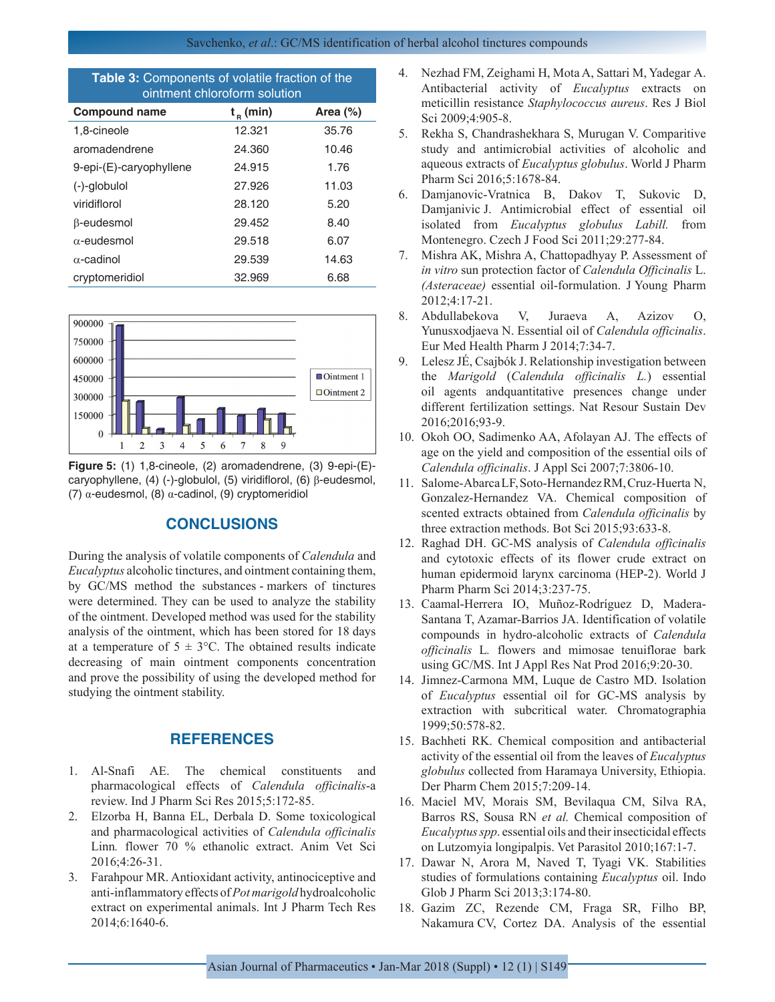| Table 3: Components of volatile fraction of the<br>ointment chloroform solution |                   |          |  |  |
|---------------------------------------------------------------------------------|-------------------|----------|--|--|
| <b>Compound name</b>                                                            | $t_{\rm R}$ (min) | Area (%) |  |  |
| 1,8-cineole                                                                     | 12.321            | 35.76    |  |  |
| aromadendrene                                                                   | 24.360            | 10.46    |  |  |
| 9-epi-(E)-caryophyllene                                                         | 24.915            | 1.76     |  |  |
| (-)-globulol                                                                    | 27.926            | 11.03    |  |  |
| viridiflorol                                                                    | 28.120            | 5.20     |  |  |
| <b>B-eudesmol</b>                                                               | 29.452            | 8.40     |  |  |
| $\alpha$ -eudesmol                                                              | 29.518            | 6.07     |  |  |
| $\alpha$ -cadinol                                                               | 29.539            | 14.63    |  |  |
| cryptomeridiol                                                                  | 32.969            | 6.68     |  |  |



**Figure 5:** (1) 1,8-cineole, (2) aromadendrene, (3) 9-epi-(E)caryophyllene, (4) (-)-globulol, (5) viridiflorol, (6) β-eudesmol, (7) α-eudesmol, (8) α-cadinol, (9) cryptomeridiol

# **CONCLUSIONS**

During the analysis of volatile components of *Calendula* and *Eucalyptus* alcoholic tinctures, and ointment containing them, by GC/MS method the substances - markers of tinctures were determined. They can be used to analyze the stability of the ointment. Developed method was used for the stability analysis of the ointment, which has been stored for 18 days at a temperature of  $5 \pm 3$ °C. The obtained results indicate decreasing of main ointment components concentration and prove the possibility of using the developed method for studying the ointment stability.

### **REFERENCES**

- 1. Al-Snafi AE. The chemical constituents and pharmacological effects of *Calendula officinalis*-a review. Ind J Pharm Sci Res 2015;5:172-85.
- 2. Elzorba H, Banna EL, Derbala D. Some toxicological and pharmacological activities of *Calendula officinalis*  Linn*.* flower 70 % ethanolic extract. Anim Vet Sci 2016;4:26-31.
- 3. Farahpour MR. Antioxidant activity, antinociceptive and anti-inflammatory effects of *Pot marigold* hydroalcoholic extract on experimental animals. Int J Pharm Tech Res 2014;6:1640-6.
- 4. Nezhad FM, Zeighami H, Mota A, Sattari M, Yadegar A. Antibacterial activity of *Eucalyptus* extracts on meticillin resistance *Staphylococcus aureus*. Res J Biol Sci 2009;4:905-8.
- 5. Rekha S, Chandrashekhara S, Murugan V. Comparitive study and antimicrobial activities of alcoholic and aqueous extracts of *Eucalyptus globulus*. World J Pharm Pharm Sci 2016;5:1678-84.
- 6. Damjanovic-Vratnica B, Dakov T, Sukovic D, Damjanivic J. Antimicrobial effect of essential oil isolated from *Eucalyptus globulus Labill.* from Montenegro. Czech J Food Sci 2011;29:277-84.
- 7. Mishra AK, Mishra A, Chattopadhyay P. Assessment of *in vitro* sun protection factor of *Calendula Officinalis* L. *(Asteraceae)* essential oil-formulation. J Young Pharm 2012;4:17-21.
- 8. Abdullabekova V, Juraeva A, Azizov O, Yunusxodjaeva N. Essential oil of *Calendula officinalis*. Eur Med Health Pharm J 2014;7:34-7.
- 9. Lelesz JÉ, Csajbók J. Relationship investigation between the *Marigold* (*Calendula officinalis L.*) essential oil agents andquantitative presences change under different fertilization settings. Nat Resour Sustain Dev 2016;2016;93-9.
- 10. Okoh OO, Sadimenko AA, Afolayan AJ. The effects of age on the yield and composition of the essential oils of *Calendula officinalis*. J Appl Sci 2007;7:3806-10.
- 11. Salome-Abarca LF, Soto-Hernandez RM, Cruz-Huerta N, Gonzalez-Hernandez VA. Chemical composition of scented extracts obtained from *Calendula officinalis* by three extraction methods. Bot Sci 2015;93:633-8.
- 12. Raghad DH. GC-MS analysis of *Calendula officinalis* and cytotoxic effects of its flower crude extract on human epidermoid larynx carcinoma (HEP-2). World J Pharm Pharm Sci 2014;3:237-75.
- 13. Caamal-Herrera IO, Muñoz-Rodríguez D, Madera-Santana T, Azamar-Barrios JA. Identification of volatile compounds in hydro-alcoholic extracts of *Calendula officinalis* L*.* flowers and mimosae tenuiflorae bark using GC/MS. Int J Appl Res Nat Prod 2016;9:20-30.
- 14. Jimnez-Carmona MM, Luque de Castro MD. Isolation of *Eucalyptus* essential oil for GC-MS analysis by extraction with subcritical water. Chromatographia 1999;50:578-82.
- 15. Bachheti RK. Chemical composition and antibacterial activity of the essential oil from the leaves of *Eucalyptus globulus* collected from Haramaya University, Ethiopia. Der Pharm Chem 2015;7:209-14.
- 16. Maciel MV, Morais SM, Bevilaqua CM, Silva RA, Barros RS, Sousa RN *et al.* Chemical composition of *Eucalyptus spp*. essential oils and their insecticidal effects on Lutzomyia longipalpis. Vet Parasitol 2010;167:1-7.
- 17. Dawar N, Arora M, Naved T, Tyagi VK. Stabilities studies of formulations containing *Eucalyptus* oil. Indo Glob J Pharm Sci 2013;3:174-80.
- 18. Gazim ZC, Rezende CM, Fraga SR, Filho BP, Nakamura CV, Cortez DA. Analysis of the essential